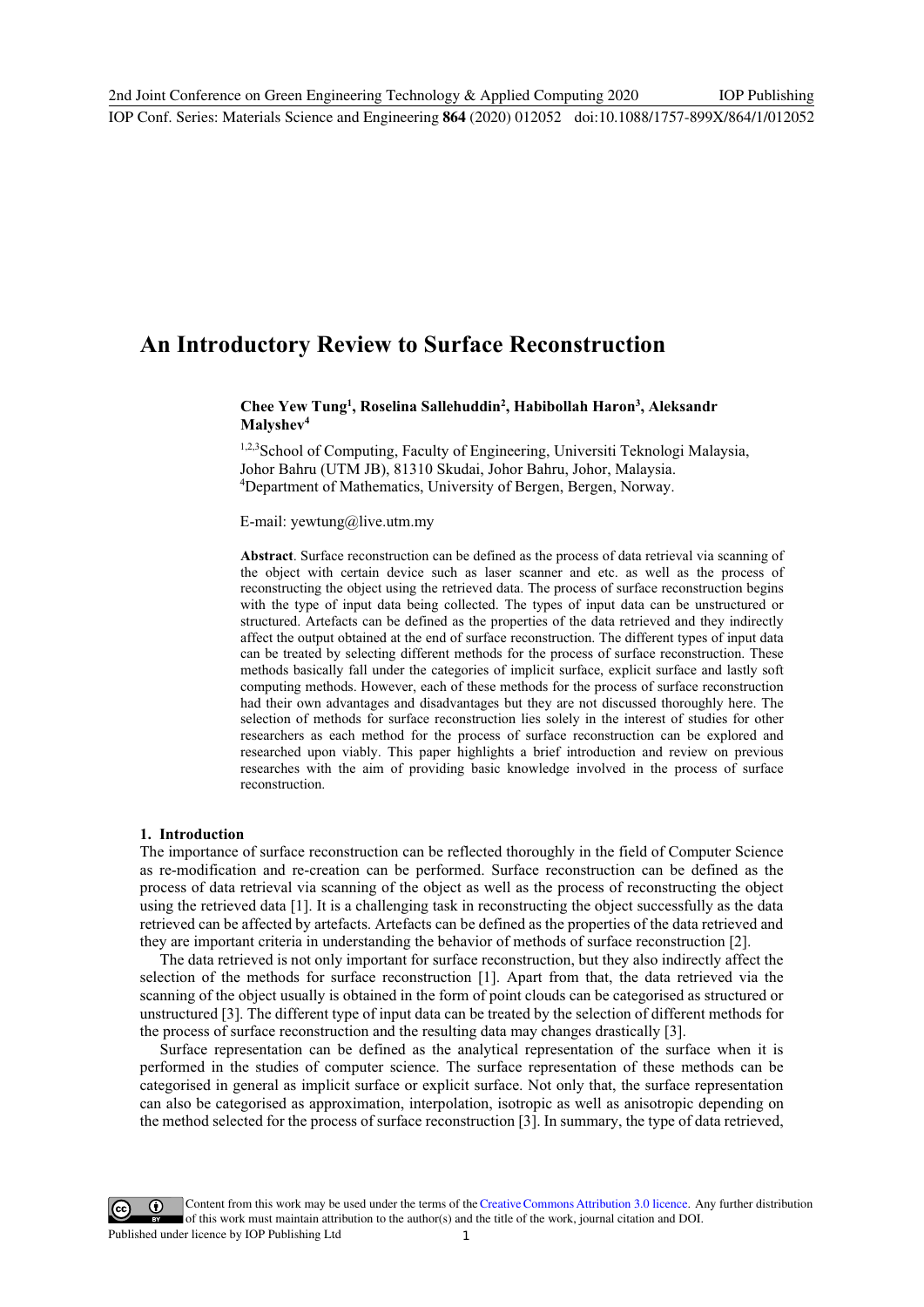# **An Introductory Review to Surface Reconstruction**

Chee Yew Tung<sup>1</sup>, Roselina Sallehuddin<sup>2</sup>, Habibollah Haron<sup>3</sup>, Aleksandr **Malyshev4**

1,2,3 School of Computing, Faculty of Engineering, Universiti Teknologi Malaysia, Johor Bahru (UTM JB), 81310 Skudai, Johor Bahru, Johor, Malaysia. 4 Department of Mathematics, University of Bergen, Bergen, Norway.

E-mail: yewtung@live.utm.my

**Abstract**. Surface reconstruction can be defined as the process of data retrieval via scanning of the object with certain device such as laser scanner and etc. as well as the process of reconstructing the object using the retrieved data. The process of surface reconstruction begins with the type of input data being collected. The types of input data can be unstructured or structured. Artefacts can be defined as the properties of the data retrieved and they indirectly affect the output obtained at the end of surface reconstruction. The different types of input data can be treated by selecting different methods for the process of surface reconstruction. These methods basically fall under the categories of implicit surface, explicit surface and lastly soft computing methods. However, each of these methods for the process of surface reconstruction had their own advantages and disadvantages but they are not discussed thoroughly here. The selection of methods for surface reconstruction lies solely in the interest of studies for other researchers as each method for the process of surface reconstruction can be explored and researched upon viably. This paper highlights a brief introduction and review on previous researches with the aim of providing basic knowledge involved in the process of surface reconstruction.

#### **1. Introduction**

The importance of surface reconstruction can be reflected thoroughly in the field of Computer Science as re-modification and re-creation can be performed. Surface reconstruction can be defined as the process of data retrieval via scanning of the object as well as the process of reconstructing the object using the retrieved data [1]. It is a challenging task in reconstructing the object successfully as the data retrieved can be affected by artefacts. Artefacts can be defined as the properties of the data retrieved and they are important criteria in understanding the behavior of methods of surface reconstruction [2].

The data retrieved is not only important for surface reconstruction, but they also indirectly affect the selection of the methods for surface reconstruction [1]. Apart from that, the data retrieved via the scanning of the object usually is obtained in the form of point clouds can be categorised as structured or unstructured [3]. The different type of input data can be treated by the selection of different methods for the process of surface reconstruction and the resulting data may changes drastically [3].

Surface representation can be defined as the analytical representation of the surface when it is performed in the studies of computer science. The surface representation of these methods can be categorised in general as implicit surface or explicit surface. Not only that, the surface representation can also be categorised as approximation, interpolation, isotropic as well as anisotropic depending on the method selected for the process of surface reconstruction [3]. In summary, the type of data retrieved,

Content from this work may be used under the terms of theCreative Commons Attribution 3.0 licence. Any further distribution of this work must maintain attribution to the author(s) and the title of the work, journal citation and DOI. Published under licence by IOP Publishing Ltd 1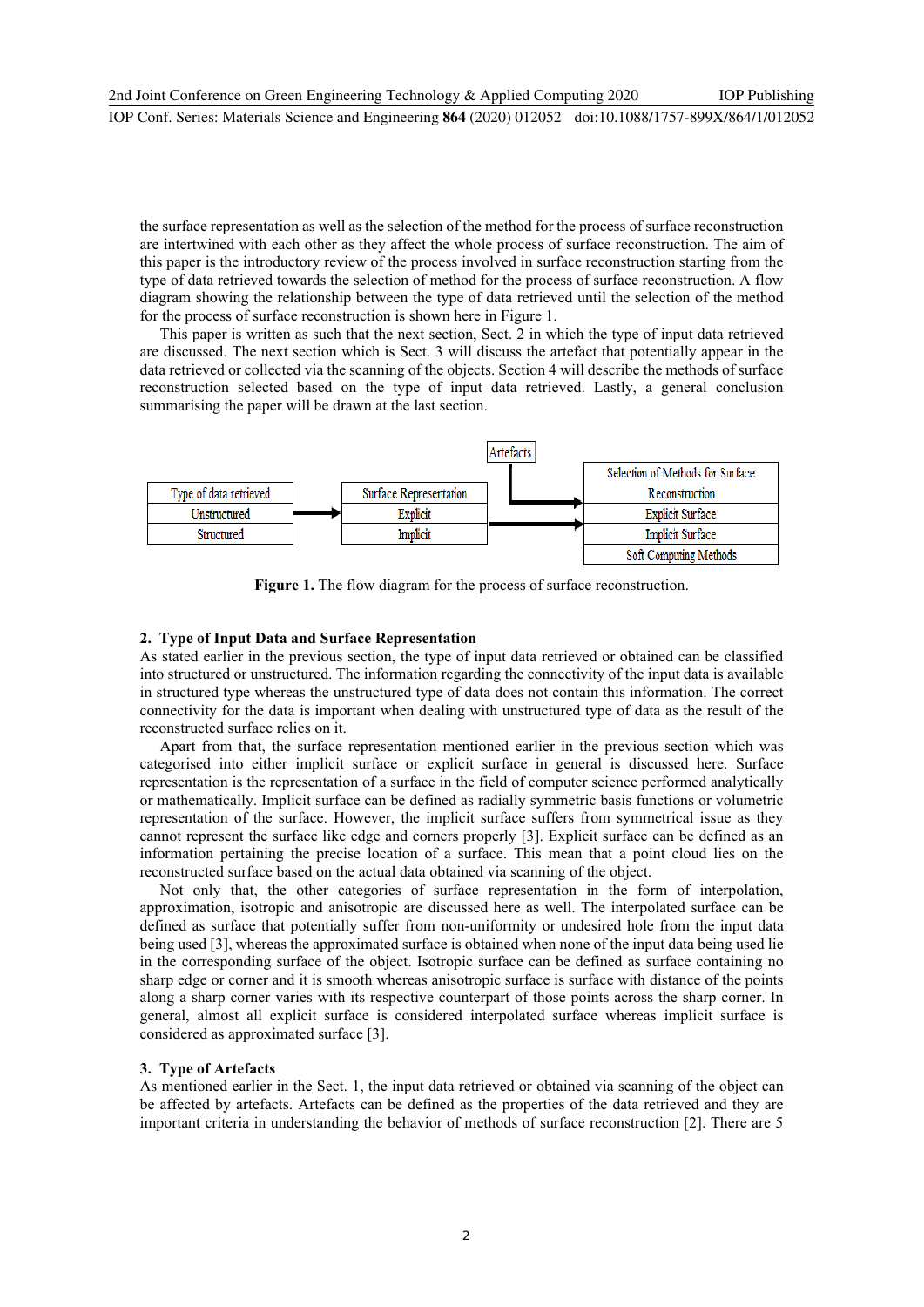the surface representation as well as the selection of the method for the process of surface reconstruction are intertwined with each other as they affect the whole process of surface reconstruction. The aim of this paper is the introductory review of the process involved in surface reconstruction starting from the type of data retrieved towards the selection of method for the process of surface reconstruction. A flow diagram showing the relationship between the type of data retrieved until the selection of the method for the process of surface reconstruction is shown here in Figure 1.

This paper is written as such that the next section, Sect. 2 in which the type of input data retrieved are discussed. The next section which is Sect. 3 will discuss the artefact that potentially appear in the data retrieved or collected via the scanning of the objects. Section 4 will describe the methods of surface reconstruction selected based on the type of input data retrieved. Lastly, a general conclusion summarising the paper will be drawn at the last section.



Figure 1. The flow diagram for the process of surface reconstruction.

# **2. Type of Input Data and Surface Representation**

As stated earlier in the previous section, the type of input data retrieved or obtained can be classified into structured or unstructured. The information regarding the connectivity of the input data is available in structured type whereas the unstructured type of data does not contain this information. The correct connectivity for the data is important when dealing with unstructured type of data as the result of the reconstructed surface relies on it.

Apart from that, the surface representation mentioned earlier in the previous section which was categorised into either implicit surface or explicit surface in general is discussed here. Surface representation is the representation of a surface in the field of computer science performed analytically or mathematically. Implicit surface can be defined as radially symmetric basis functions or volumetric representation of the surface. However, the implicit surface suffers from symmetrical issue as they cannot represent the surface like edge and corners properly [3]. Explicit surface can be defined as an information pertaining the precise location of a surface. This mean that a point cloud lies on the reconstructed surface based on the actual data obtained via scanning of the object.

Not only that, the other categories of surface representation in the form of interpolation, approximation, isotropic and anisotropic are discussed here as well. The interpolated surface can be defined as surface that potentially suffer from non-uniformity or undesired hole from the input data being used [3], whereas the approximated surface is obtained when none of the input data being used lie in the corresponding surface of the object. Isotropic surface can be defined as surface containing no sharp edge or corner and it is smooth whereas anisotropic surface is surface with distance of the points along a sharp corner varies with its respective counterpart of those points across the sharp corner. In general, almost all explicit surface is considered interpolated surface whereas implicit surface is considered as approximated surface [3].

# **3. Type of Artefacts**

As mentioned earlier in the Sect. 1, the input data retrieved or obtained via scanning of the object can be affected by artefacts. Artefacts can be defined as the properties of the data retrieved and they are important criteria in understanding the behavior of methods of surface reconstruction [2]. There are 5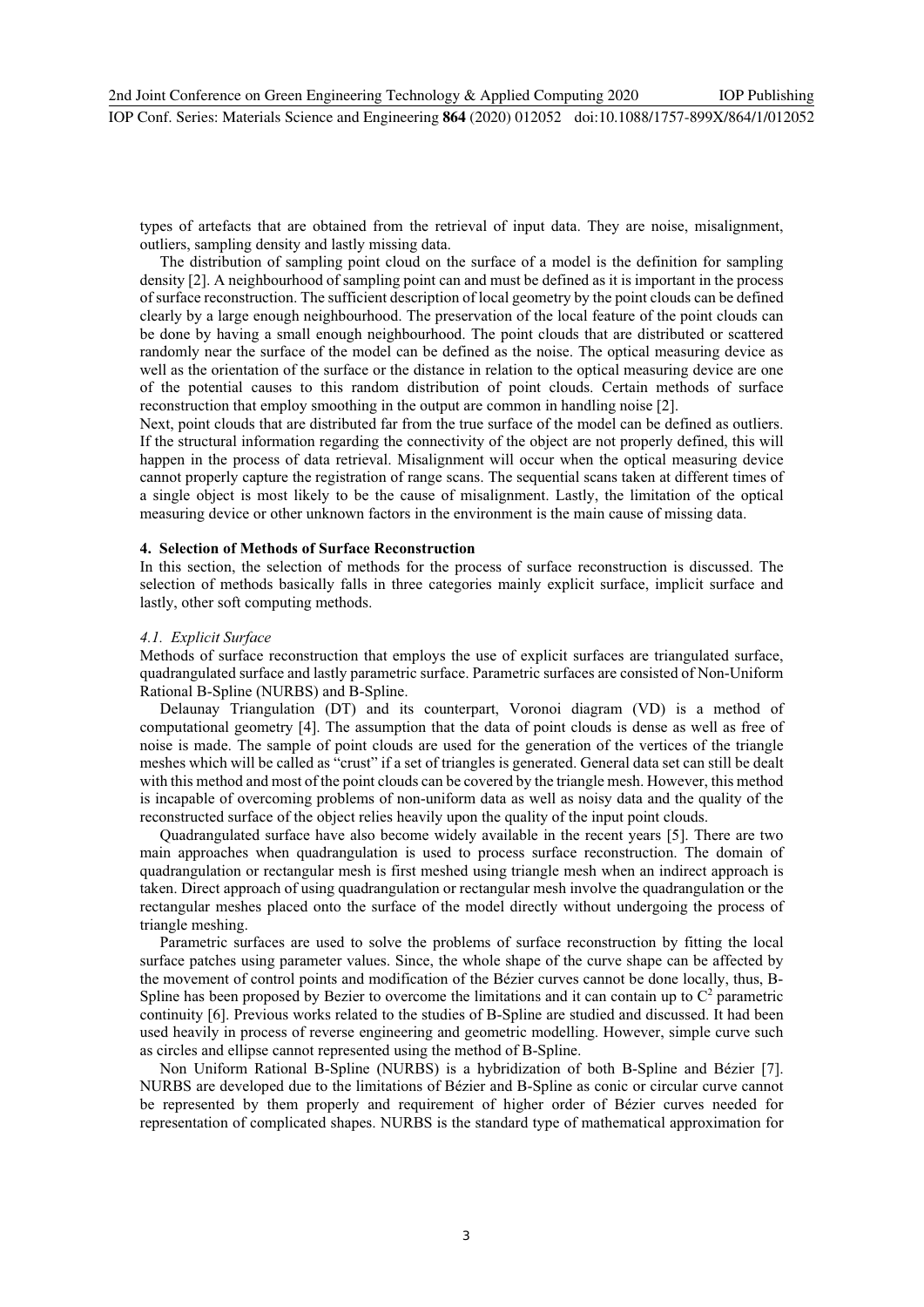types of artefacts that are obtained from the retrieval of input data. They are noise, misalignment, outliers, sampling density and lastly missing data.

The distribution of sampling point cloud on the surface of a model is the definition for sampling density [2]. A neighbourhood of sampling point can and must be defined as it is important in the process of surface reconstruction. The sufficient description of local geometry by the point clouds can be defined clearly by a large enough neighbourhood. The preservation of the local feature of the point clouds can be done by having a small enough neighbourhood. The point clouds that are distributed or scattered randomly near the surface of the model can be defined as the noise. The optical measuring device as well as the orientation of the surface or the distance in relation to the optical measuring device are one of the potential causes to this random distribution of point clouds. Certain methods of surface reconstruction that employ smoothing in the output are common in handling noise [2].

Next, point clouds that are distributed far from the true surface of the model can be defined as outliers. If the structural information regarding the connectivity of the object are not properly defined, this will happen in the process of data retrieval. Misalignment will occur when the optical measuring device cannot properly capture the registration of range scans. The sequential scans taken at different times of a single object is most likely to be the cause of misalignment. Lastly, the limitation of the optical measuring device or other unknown factors in the environment is the main cause of missing data.

#### **4. Selection of Methods of Surface Reconstruction**

In this section, the selection of methods for the process of surface reconstruction is discussed. The selection of methods basically falls in three categories mainly explicit surface, implicit surface and lastly, other soft computing methods.

## *4.1. Explicit Surface*

Methods of surface reconstruction that employs the use of explicit surfaces are triangulated surface, quadrangulated surface and lastly parametric surface. Parametric surfaces are consisted of Non-Uniform Rational B-Spline (NURBS) and B-Spline.

Delaunay Triangulation (DT) and its counterpart, Voronoi diagram (VD) is a method of computational geometry [4]. The assumption that the data of point clouds is dense as well as free of noise is made. The sample of point clouds are used for the generation of the vertices of the triangle meshes which will be called as "crust" if a set of triangles is generated. General data set can still be dealt with this method and most of the point clouds can be covered by the triangle mesh. However, this method is incapable of overcoming problems of non-uniform data as well as noisy data and the quality of the reconstructed surface of the object relies heavily upon the quality of the input point clouds.

Quadrangulated surface have also become widely available in the recent years [5]. There are two main approaches when quadrangulation is used to process surface reconstruction. The domain of quadrangulation or rectangular mesh is first meshed using triangle mesh when an indirect approach is taken. Direct approach of using quadrangulation or rectangular mesh involve the quadrangulation or the rectangular meshes placed onto the surface of the model directly without undergoing the process of triangle meshing.

Parametric surfaces are used to solve the problems of surface reconstruction by fitting the local surface patches using parameter values. Since, the whole shape of the curve shape can be affected by the movement of control points and modification of the Bézier curves cannot be done locally, thus, B-Spline has been proposed by Bezier to overcome the limitations and it can contain up to  $C<sup>2</sup>$  parametric continuity [6]. Previous works related to the studies of B-Spline are studied and discussed. It had been used heavily in process of reverse engineering and geometric modelling. However, simple curve such as circles and ellipse cannot represented using the method of B-Spline.

Non Uniform Rational B-Spline (NURBS) is a hybridization of both B-Spline and Bézier [7]. NURBS are developed due to the limitations of Bézier and B-Spline as conic or circular curve cannot be represented by them properly and requirement of higher order of Bézier curves needed for representation of complicated shapes. NURBS is the standard type of mathematical approximation for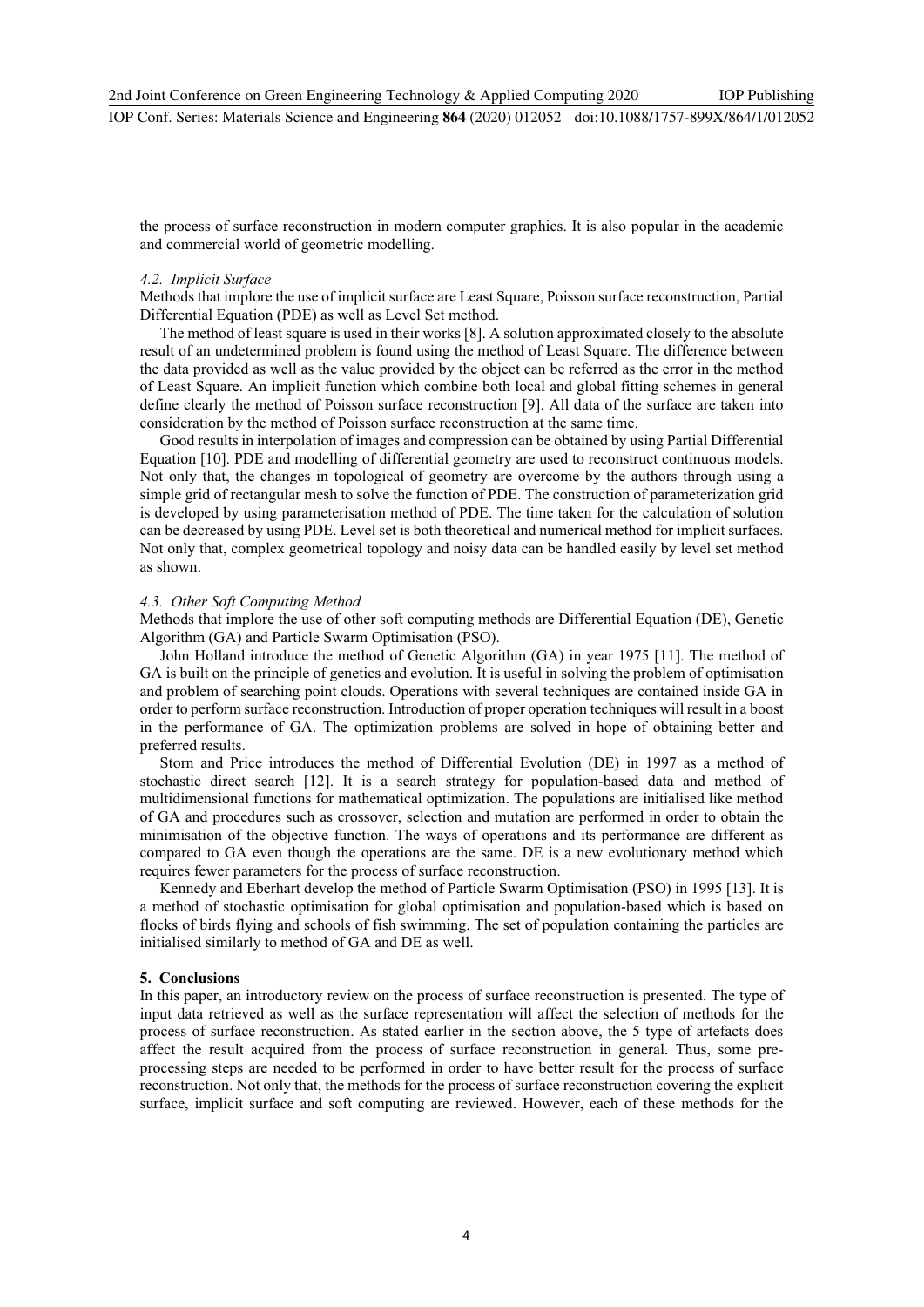the process of surface reconstruction in modern computer graphics. It is also popular in the academic and commercial world of geometric modelling.

## *4.2. Implicit Surface*

Methods that implore the use of implicit surface are Least Square, Poisson surface reconstruction, Partial Differential Equation (PDE) as well as Level Set method.

The method of least square is used in their works [8]. A solution approximated closely to the absolute result of an undetermined problem is found using the method of Least Square. The difference between the data provided as well as the value provided by the object can be referred as the error in the method of Least Square. An implicit function which combine both local and global fitting schemes in general define clearly the method of Poisson surface reconstruction [9]. All data of the surface are taken into consideration by the method of Poisson surface reconstruction at the same time.

Good results in interpolation of images and compression can be obtained by using Partial Differential Equation [10]. PDE and modelling of differential geometry are used to reconstruct continuous models. Not only that, the changes in topological of geometry are overcome by the authors through using a simple grid of rectangular mesh to solve the function of PDE. The construction of parameterization grid is developed by using parameterisation method of PDE. The time taken for the calculation of solution can be decreased by using PDE. Level set is both theoretical and numerical method for implicit surfaces. Not only that, complex geometrical topology and noisy data can be handled easily by level set method as shown.

## *4.3. Other Soft Computing Method*

Methods that implore the use of other soft computing methods are Differential Equation (DE), Genetic Algorithm (GA) and Particle Swarm Optimisation (PSO).

John Holland introduce the method of Genetic Algorithm (GA) in year 1975 [11]. The method of GA is built on the principle of genetics and evolution. It is useful in solving the problem of optimisation and problem of searching point clouds. Operations with several techniques are contained inside GA in order to perform surface reconstruction. Introduction of proper operation techniques will result in a boost in the performance of GA. The optimization problems are solved in hope of obtaining better and preferred results.

Storn and Price introduces the method of Differential Evolution (DE) in 1997 as a method of stochastic direct search [12]. It is a search strategy for population-based data and method of multidimensional functions for mathematical optimization. The populations are initialised like method of GA and procedures such as crossover, selection and mutation are performed in order to obtain the minimisation of the objective function. The ways of operations and its performance are different as compared to GA even though the operations are the same. DE is a new evolutionary method which requires fewer parameters for the process of surface reconstruction.

Kennedy and Eberhart develop the method of Particle Swarm Optimisation (PSO) in 1995 [13]. It is a method of stochastic optimisation for global optimisation and population-based which is based on flocks of birds flying and schools of fish swimming. The set of population containing the particles are initialised similarly to method of GA and DE as well.

#### **5. Conclusions**

In this paper, an introductory review on the process of surface reconstruction is presented. The type of input data retrieved as well as the surface representation will affect the selection of methods for the process of surface reconstruction. As stated earlier in the section above, the 5 type of artefacts does affect the result acquired from the process of surface reconstruction in general. Thus, some preprocessing steps are needed to be performed in order to have better result for the process of surface reconstruction. Not only that, the methods for the process of surface reconstruction covering the explicit surface, implicit surface and soft computing are reviewed. However, each of these methods for the